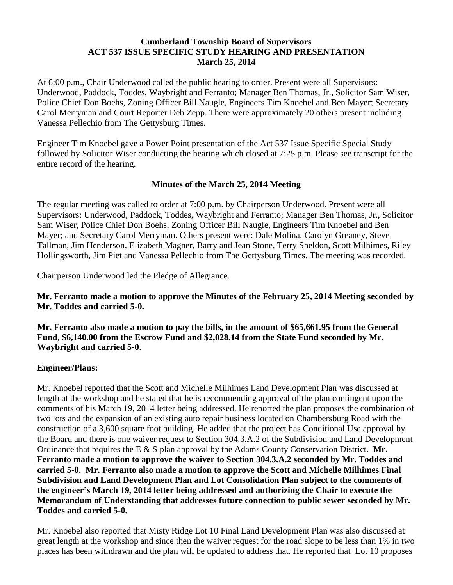## **Cumberland Township Board of Supervisors ACT 537 ISSUE SPECIFIC STUDY HEARING AND PRESENTATION March 25, 2014**

At 6:00 p.m., Chair Underwood called the public hearing to order. Present were all Supervisors: Underwood, Paddock, Toddes, Waybright and Ferranto; Manager Ben Thomas, Jr., Solicitor Sam Wiser, Police Chief Don Boehs, Zoning Officer Bill Naugle, Engineers Tim Knoebel and Ben Mayer; Secretary Carol Merryman and Court Reporter Deb Zepp. There were approximately 20 others present including Vanessa Pellechio from The Gettysburg Times.

Engineer Tim Knoebel gave a Power Point presentation of the Act 537 Issue Specific Special Study followed by Solicitor Wiser conducting the hearing which closed at 7:25 p.m. Please see transcript for the entire record of the hearing.

# **Minutes of the March 25, 2014 Meeting**

The regular meeting was called to order at 7:00 p.m. by Chairperson Underwood. Present were all Supervisors: Underwood, Paddock, Toddes, Waybright and Ferranto; Manager Ben Thomas, Jr., Solicitor Sam Wiser, Police Chief Don Boehs, Zoning Officer Bill Naugle, Engineers Tim Knoebel and Ben Mayer; and Secretary Carol Merryman. Others present were: Dale Molina, Carolyn Greaney, Steve Tallman, Jim Henderson, Elizabeth Magner, Barry and Jean Stone, Terry Sheldon, Scott Milhimes, Riley Hollingsworth, Jim Piet and Vanessa Pellechio from The Gettysburg Times. The meeting was recorded.

Chairperson Underwood led the Pledge of Allegiance.

**Mr. Ferranto made a motion to approve the Minutes of the February 25, 2014 Meeting seconded by Mr. Toddes and carried 5-0.**

**Mr. Ferranto also made a motion to pay the bills, in the amount of \$65,661.95 from the General Fund, \$6,140.00 from the Escrow Fund and \$2,028.14 from the State Fund seconded by Mr. Waybright and carried 5-0**.

## **Engineer/Plans:**

Mr. Knoebel reported that the Scott and Michelle Milhimes Land Development Plan was discussed at length at the workshop and he stated that he is recommending approval of the plan contingent upon the comments of his March 19, 2014 letter being addressed. He reported the plan proposes the combination of two lots and the expansion of an existing auto repair business located on Chambersburg Road with the construction of a 3,600 square foot building. He added that the project has Conditional Use approval by the Board and there is one waiver request to Section 304.3.A.2 of the Subdivision and Land Development Ordinance that requires the E & S plan approval by the Adams County Conservation District. **Mr. Ferranto made a motion to approve the waiver to Section 304.3.A.2 seconded by Mr. Toddes and carried 5-0. Mr. Ferranto also made a motion to approve the Scott and Michelle Milhimes Final Subdivision and Land Development Plan and Lot Consolidation Plan subject to the comments of the engineer's March 19, 2014 letter being addressed and authorizing the Chair to execute the Memorandum of Understanding that addresses future connection to public sewer seconded by Mr. Toddes and carried 5-0.**

Mr. Knoebel also reported that Misty Ridge Lot 10 Final Land Development Plan was also discussed at great length at the workshop and since then the waiver request for the road slope to be less than 1% in two places has been withdrawn and the plan will be updated to address that. He reported that Lot 10 proposes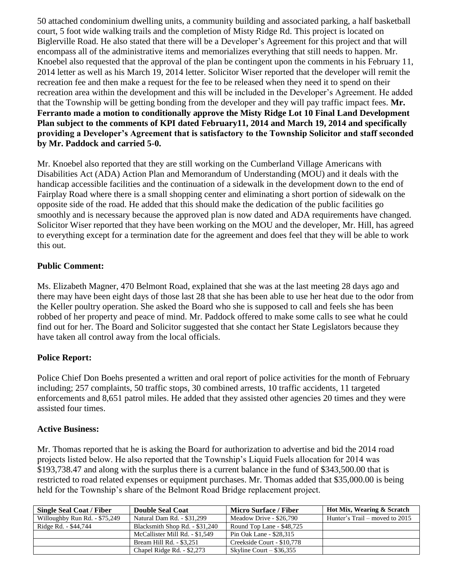50 attached condominium dwelling units, a community building and associated parking, a half basketball court, 5 foot wide walking trails and the completion of Misty Ridge Rd. This project is located on Biglerville Road. He also stated that there will be a Developer's Agreement for this project and that will encompass all of the administrative items and memorializes everything that still needs to happen. Mr. Knoebel also requested that the approval of the plan be contingent upon the comments in his February 11, 2014 letter as well as his March 19, 2014 letter. Solicitor Wiser reported that the developer will remit the recreation fee and then make a request for the fee to be released when they need it to spend on their recreation area within the development and this will be included in the Developer's Agreement. He added that the Township will be getting bonding from the developer and they will pay traffic impact fees. **Mr. Ferranto made a motion to conditionally approve the Misty Ridge Lot 10 Final Land Development Plan subject to the comments of KPI dated February11, 2014 and March 19, 2014 and specifically providing a Developer's Agreement that is satisfactory to the Township Solicitor and staff seconded by Mr. Paddock and carried 5-0.** 

Mr. Knoebel also reported that they are still working on the Cumberland Village Americans with Disabilities Act (ADA) Action Plan and Memorandum of Understanding (MOU) and it deals with the handicap accessible facilities and the continuation of a sidewalk in the development down to the end of Fairplay Road where there is a small shopping center and eliminating a short portion of sidewalk on the opposite side of the road. He added that this should make the dedication of the public facilities go smoothly and is necessary because the approved plan is now dated and ADA requirements have changed. Solicitor Wiser reported that they have been working on the MOU and the developer, Mr. Hill, has agreed to everything except for a termination date for the agreement and does feel that they will be able to work this out.

# **Public Comment:**

Ms. Elizabeth Magner, 470 Belmont Road, explained that she was at the last meeting 28 days ago and there may have been eight days of those last 28 that she has been able to use her heat due to the odor from the Keller poultry operation. She asked the Board who she is supposed to call and feels she has been robbed of her property and peace of mind. Mr. Paddock offered to make some calls to see what he could find out for her. The Board and Solicitor suggested that she contact her State Legislators because they have taken all control away from the local officials.

## **Police Report:**

Police Chief Don Boehs presented a written and oral report of police activities for the month of February including; 257 complaints, 50 traffic stops, 30 combined arrests, 10 traffic accidents, 11 targeted enforcements and 8,651 patrol miles. He added that they assisted other agencies 20 times and they were assisted four times.

## **Active Business:**

Mr. Thomas reported that he is asking the Board for authorization to advertise and bid the 2014 road projects listed below. He also reported that the Township's Liquid Fuels allocation for 2014 was \$193,738.47 and along with the surplus there is a current balance in the fund of \$343,500.00 that is restricted to road related expenses or equipment purchases. Mr. Thomas added that \$35,000.00 is being held for the Township's share of the Belmont Road Bridge replacement project.

| <b>Single Seal Coat / Fiber</b> | <b>Double Seal Coat</b>        | <b>Micro Surface / Fiber</b> | Hot Mix, Wearing & Scratch       |
|---------------------------------|--------------------------------|------------------------------|----------------------------------|
| Willoughby Run Rd. - \$75,249   | Natural Dam Rd. - \$31,299     | Meadow Drive - \$26,790      | Hunter's Trail – moved to $2015$ |
| Ridge Rd. - \$44,744            | Blacksmith Shop Rd. - \$31,240 | Round Top Lane - \$48,725    |                                  |
|                                 | McCallister Mill Rd. - \$1.549 | Pin Oak Lane - \$28,315      |                                  |
|                                 | Bream Hill Rd. - \$3,251       | Creekside Court - \$10,778   |                                  |
|                                 | Chapel Ridge Rd. - \$2,273     | Skyline Court $-$ \$36,355   |                                  |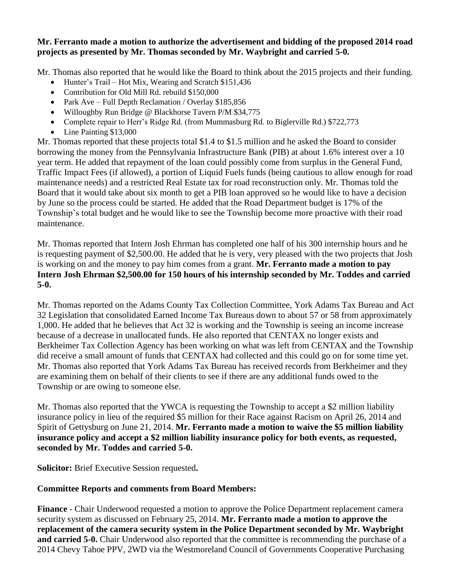### **Mr. Ferranto made a motion to authorize the advertisement and bidding of the proposed 2014 road projects as presented by Mr. Thomas seconded by Mr. Waybright and carried 5-0.**

Mr. Thomas also reported that he would like the Board to think about the 2015 projects and their funding.

- Hunter's Trail Hot Mix, Wearing and Scratch \$151,436
- Contribution for Old Mill Rd. rebuild \$150,000
- Park Ave Full Depth Reclamation / Overlay \$185,856
- Willoughby Run Bridge @ Blackhorse Tavern P/M \$34,775
- Complete repair to Herr's Ridge Rd. (from Mummasburg Rd. to Biglerville Rd.) \$722,773
- Line Painting \$13,000

Mr. Thomas reported that these projects total \$1.4 to \$1.5 million and he asked the Board to consider borrowing the money from the Pennsylvania Infrastructure Bank (PIB) at about 1.6% interest over a 10 year term. He added that repayment of the loan could possibly come from surplus in the General Fund, Traffic Impact Fees (if allowed), a portion of Liquid Fuels funds (being cautious to allow enough for road maintenance needs) and a restricted Real Estate tax for road reconstruction only. Mr. Thomas told the Board that it would take about six month to get a PIB loan approved so he would like to have a decision by June so the process could be started. He added that the Road Department budget is 17% of the Township's total budget and he would like to see the Township become more proactive with their road maintenance.

Mr. Thomas reported that Intern Josh Ehrman has completed one half of his 300 internship hours and he is requesting payment of \$2,500.00. He added that he is very, very pleased with the two projects that Josh is working on and the money to pay him comes from a grant. **Mr. Ferranto made a motion to pay Intern Josh Ehrman \$2,500.00 for 150 hours of his internship seconded by Mr. Toddes and carried 5-0.**

Mr. Thomas reported on the Adams County Tax Collection Committee, York Adams Tax Bureau and Act 32 Legislation that consolidated Earned Income Tax Bureaus down to about 57 or 58 from approximately 1,000. He added that he believes that Act 32 is working and the Township is seeing an income increase because of a decrease in unallocated funds. He also reported that CENTAX no longer exists and Berkheimer Tax Collection Agency has been working on what was left from CENTAX and the Township did receive a small amount of funds that CENTAX had collected and this could go on for some time yet. Mr. Thomas also reported that York Adams Tax Bureau has received records from Berkheimer and they are examining them on behalf of their clients to see if there are any additional funds owed to the Township or are owing to someone else.

Mr. Thomas also reported that the YWCA is requesting the Township to accept a \$2 million liability insurance policy in lieu of the required \$5 million for their Race against Racism on April 26, 2014 and Spirit of Gettysburg on June 21, 2014. **Mr. Ferranto made a motion to waive the \$5 million liability insurance policy and accept a \$2 million liability insurance policy for both events, as requested, seconded by Mr. Toddes and carried 5-0.**

**Solicitor:** Brief Executive Session requested**.**

## **Committee Reports and comments from Board Members:**

**Finance** - Chair Underwood requested a motion to approve the Police Department replacement camera security system as discussed on February 25, 2014. **Mr. Ferranto made a motion to approve the replacement of the camera security system in the Police Department seconded by Mr. Waybright and carried 5-0.** Chair Underwood also reported that the committee is recommending the purchase of a 2014 Chevy Tahoe PPV, 2WD via the Westmoreland Council of Governments Cooperative Purchasing